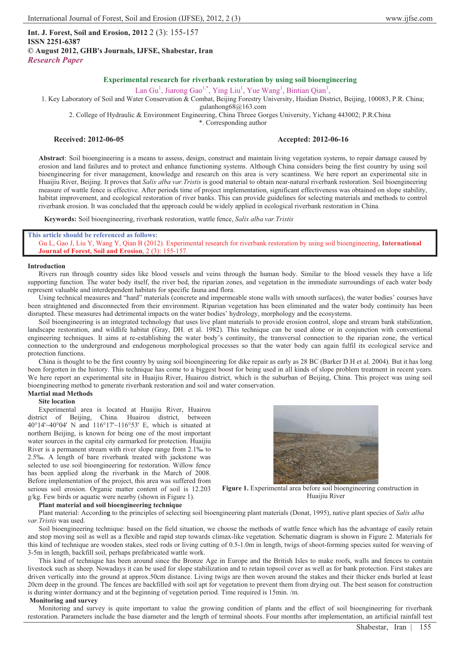**Int. J. Forest, Soil and Erosion, 2012** 2 (3): 155-157 **ISSN 2251-6387 © August 2012, GHB's Journals, IJFSE, Shabestar, Iran** *Research Paper*

# **Experimental research for riverbank restoration by using soil bioengineering**

Lan Gu<sup>1</sup>, Jiarong Gao<sup>1,\*</sup>, Ying Liu<sup>1</sup>, Yue Wang<sup>1</sup>, Bintian Qian<sup>1</sup>,

1. Key Laboratory of Soil and Water Conservation & Combat, Beijing Forestry University, Haidian District, Beijing, 100083, P.R. China; gulanhong68@163.com

2. College of Hydraulic & Environment Engineering, China Threee Gorges University, Yichang 443002; P.R.China

\*. Corresponding author

## **Received: 2012-06-05 Accepted: 2012-06-16**

**Abstract**: Soil bioengineering is a means to assess, design, construct and maintain living vegetation systems, to repair damage caused by erosion and land failures and to protect and enhance functioning systems. Although China considers being the first country by using soil bioengineering for river management, knowledge and research on this area is very scantiness. We here report an experimental site in Huaijiu River, Beijing. It proves that *Salix alba var.Tristis* is good material to obtain near-natural riverbank restoration. Soil bioengineering measure of wattle fence is effective. After periods time of project implementation, significant effectiveness was obtained on slope stability, habitat improvement, and ecological restoration of river banks. This can provide guidelines for selecting materials and methods to control riverbank erosion. It was concluded that the approach could be widely applied in ecological riverbank restoration in China.

**Keywords:** Soil bioengineering, riverbank restoration, wattle fence, *Salix alba var.Tristis*

## **This article should be referenced as follows:**

Gu L, Gao J, Liu Y, Wang Y, Qian B (2012). Experimental research for riverbank restoration by using soil bioengineering, **International Journal of Forest, Soil and Erosion**, 2 (3): 155-157.

## **Introduction**

Rivers run through country sides like blood vessels and veins through the human body. Similar to the blood vessels they have a life supporting function. The water body itself, the river bed, the riparian zones, and vegetation in the immediate surroundings of each water body represent valuable and interdependent habitats for specific fauna and flora.

Using technical measures and "hard" materials (concrete and impermeable stone walls with smooth surfaces), the water bodies' courses have been straightened and disconnected from their environment. Riparian vegetation has been eliminated and the water body continuity has been disrupted. These measures had detrimental impacts on the water bodies' hydrology, morphology and the ecosystems.

Soil bioengineering is an integrated technology that uses live plant materials to provide erosion control, slope and stream bank stabilization, landscape restoration, and wildlife habitat (Gray, DH. et al. 1982). This technique can be used alone or in conjunction with conventional engineering techniques. It aims at re-establishing the water body's continuity, the transversal connection to the riparian zone, the vertical connection to the underground and endogenous morphological processes so that the water body can again fulfil its ecological service and protection functions.

China is thought to be the first country by using soil bioengineering for dike repair as early as 28 BC (Barker D.H et al. 2004). But it has long been forgotten in the history. This technique has come to a biggest boost for being used in all kinds of slope problem treatment in recent years. We here report an experimental site in Huaijiu River, Huairou district, which is the suburban of Beijing, China. This project was using soil bioengineering method to generate riverbank restoration and soil and water conservation.

#### **Martial mad Methods Site location**

Experimental area is located at Huaijiu River, Huairou district of Beijing, China. Huairou district, between 40°14'~40°04' N and 116°17'~116°53' E, which is situated at northern Beijing, is known for being one of the most important water sources in the capital city earmarked for protection. Huaijiu River is a permanent stream with river slope range from 2.1‰ to 2.5‰. A length of bare riverbank treated with jackstone was selected to use soil bioengineering for restoration. Willow fence has been applied along the riverbank in the March of 2008. Before implementation of the project, this area was suffered from serious soil erosion. Organic matter content of soil is 12.203 g/kg. Few birds or aquatic were nearby (shown in Figure 1).



**Figure 1.** Experimental area before soil bioengineering construction in Huaijiu River

## **Plant material and soil bioengineering technique**

Plant material: Accordin**g** to the principles of selecting soil bioengineering plant materials (Donat, 1995), native plant species of *Salix alba var.Tristis* was used.

Soil bioengineering technique: based on the field situation, we choose the methods of wattle fence which has the advantage of easily retain and stop moving soil as well as a flexible and rapid step towards climax-like vegetation. Schematic diagram is shown in Figure 2. Materials for this kind of technique are wooden stakes, steel rods or living cutting of 0.5-1.0m in length, twigs of shoot-forming species suited for weaving of 3-5m in length, backfill soil, perhaps prefabricated wattle work.

This kind of technique has been around since the Bronze Age in Europe and the British Isles to make roofs, walls and fences to contain livestock such as sheep. Nowadays it can be used for slope stabilization and to retain topsoil cover as well as for bank protection. First stakes are driven vertically into the ground at approx.50cm distance. Living twigs are then woven around the stakes and their thicker ends burled at least 20cm deep in the ground. The fences are backfilled with soil apt for vegetation to prevent them from drying out. The best season for construction is during winter dormancy and at the beginning of vegetation period. Time required is 15min. /m.

## **Monitoring and survey**

Monitoring and survey is quite important to value the growing condition of plants and the effect of soil bioengineering for riverbank restoration. Parameters include the base diameter and the length of terminal shoots. Four months after implementation, an artificial rainfall test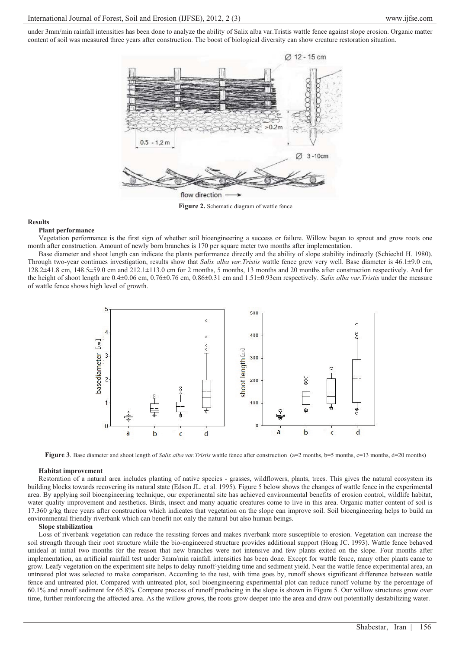under 3mm/min rainfall intensities has been done to analyze the ability of Salix alba var.Tristis wattle fence against slope erosion. Organic matter content of soil was measured three years after construction. The boost of biological diversity can show creature restoration situation.



**Figure 2.** Schematic diagram of wattle fence

## **Results**

#### **Plant performance**

Vegetation performance is the first sign of whether soil bioengineering a success or failure. Willow began to sprout and grow roots one month after construction. Amount of newly born branches is 170 per square meter two months after implementation.

Base diameter and shoot length can indicate the plants performance directly and the ability of slope stability indirectly (Schiechtl H. 1980). Through two-year continues investigation, results show that *Salix alba var.Tristis* wattle fence grew very well. Base diameter is 46.1±9.0 cm, 128.2±41.8 cm, 148.5±59.0 cm and 212.1±113.0 cm for 2 months, 5 months, 13 months and 20 months after construction respectively. And for the height of shoot length are 0.4±0.06 cm, 0.76±0.76 cm, 0.86±0.31 cm and 1.51±0.93cm respectively. *Salix alba var.Tristis* under the measure of wattle fence shows high level of growth.



**Figure 3**. Base diameter and shoot length of *Salix alba var.Tristis* wattle fence after construction (a=2 months, b=5 months, c=13 months, d=20 months)

## **Habitat improvement**

Restoration of a natural area includes planting of native species - grasses, wildflowers, plants, trees. This gives the natural ecosystem its building blocks towards recovering its natural state (Edson JL. et al. 1995). Figure 5 below shows the changes of wattle fence in the experimental area. By applying soil bioengineering technique, our experimental site has achieved environmental benefits of erosion control, wildlife habitat, water quality improvement and aesthetics. Birds, insect and many aquatic creatures come to live in this area. Organic matter content of soil is 17.360 g/kg three years after construction which indicates that vegetation on the slope can improve soil. Soil bioengineering helps to build an environmental friendly riverbank which can benefit not only the natural but also human beings.

## **Slope stabilization**

Loss of riverbank vegetation can reduce the resisting forces and makes riverbank more susceptible to erosion. Vegetation can increase the soil strength through their root structure while the bio-engineered structure provides additional support (Hoag JC. 1993). Wattle fence behaved unideal at initial two months for the reason that new branches were not intensive and few plants exited on the slope. Four months after implementation, an artificial rainfall test under 3mm/min rainfall intensities has been done. Except for wattle fence, many other plants came to grow. Leafy vegetation on the experiment site helps to delay runoff-yielding time and sediment yield. Near the wattle fence experimental area, an untreated plot was selected to make comparison. According to the test, with time goes by, runoff shows significant difference between wattle fence and untreated plot. Compared with untreated plot, soil bioengineering experimental plot can reduce runoff volume by the percentage of 60.1% and runoff sediment for 65.8%. Compare process of runoff producing in the slope is shown in Figure 5. Our willow structures grow over time, further reinforcing the affected area. As the willow grows, the roots grow deeper into the area and draw out potentially destabilizing water.